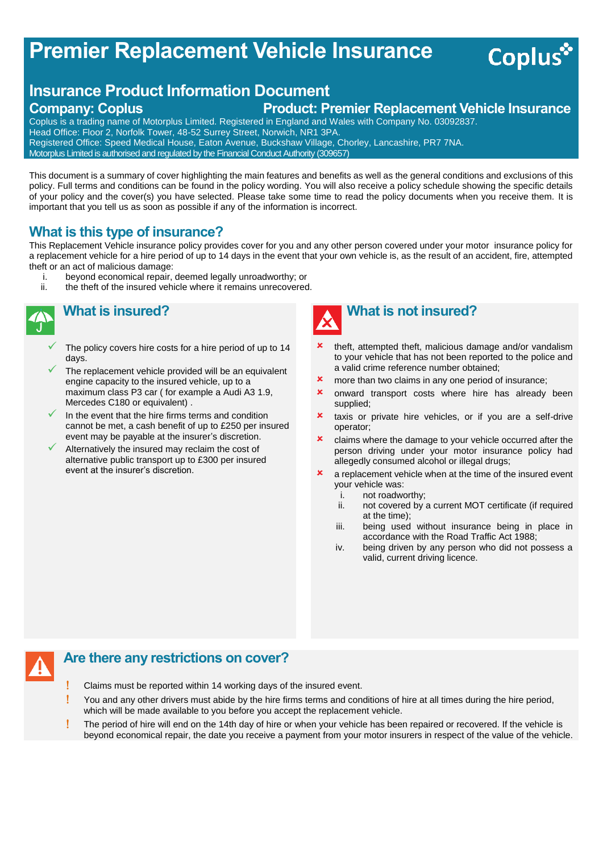# **Premier Replacement Vehicle Insurance**

# **Insurance Product Information Document Company: Coplus Product: Premier Replacement Vehicle Insurance**

Coplus is a trading name of Motorplus Limited. Registered in England and Wales with Company No. 03092837. Head Office: Floor 2, Norfolk Tower, 48-52 Surrey Street, Norwich, NR1 3PA. Registered Office: Speed Medical House, Eaton Avenue, Buckshaw Village, Chorley, Lancashire, PR7 7NA. Motorplus Limited is authorised and regulated by the Financial Conduct Authority (309657)

This document is a summary of cover highlighting the main features and benefits as well as the general conditions and exclusions of this policy. Full terms and conditions can be found in the policy wording. You will also receive a policy schedule showing the specific details of your policy and the cover(s) you have selected. Please take some time to read the policy documents when you receive them. It is important that you tell us as soon as possible if any of the information is incorrect.

## **What is this type of insurance?**

This Replacement Vehicle insurance policy provides cover for you and any other person covered under your motor insurance policy for a replacement vehicle for a hire period of up to 14 days in the event that your own vehicle is, as the result of an accident, fire, attempted theft or an act of malicious damage:

- i. beyond economical repair, deemed legally unroadworthy; or ii. the theft of the insured vehicle where it remains unrecovered
	- the theft of the insured vehicle where it remains unrecovered.



# **What is insured?**

- The policy covers hire costs for a hire period of up to 14 days.
- The replacement vehicle provided will be an equivalent engine capacity to the insured vehicle, up to a maximum class P3 car ( for example a Audi A3 1.9, Mercedes C180 or equivalent) .
- In the event that the hire firms terms and condition cannot be met, a cash benefit of up to £250 per insured event may be payable at the insurer's discretion.
- Alternatively the insured may reclaim the cost of alternative public transport up to £300 per insured event at the insurer's discretion.



 theft, attempted theft, malicious damage and/or vandalism to your vehicle that has not been reported to the police and a valid crime reference number obtained;

**Coplus** 

- **x** more than two claims in any one period of insurance;
- **x** onward transport costs where hire has already been supplied;
- **x** taxis or private hire vehicles, or if you are a self-drive operator;
- **x** claims where the damage to your vehicle occurred after the person driving under your motor insurance policy had allegedly consumed alcohol or illegal drugs;
- $\boldsymbol{\ast}$  a replacement vehicle when at the time of the insured event your vehicle was:
	- i. not roadworthy;
	- ii. not covered by a current MOT certificate (if required at the time);
	- iii. being used without insurance being in place in accordance with the Road Traffic Act 1988;
	- iv. being driven by any person who did not possess a valid, current driving licence.

## **Are there any restrictions on cover?**

- Claims must be reported within 14 working days of the insured event.
- You and any other drivers must abide by the hire firms terms and conditions of hire at all times during the hire period, which will be made available to you before you accept the replacement vehicle.
- The period of hire will end on the 14th day of hire or when your vehicle has been repaired or recovered. If the vehicle is beyond economical repair, the date you receive a payment from your motor insurers in respect of the value of the vehicle.